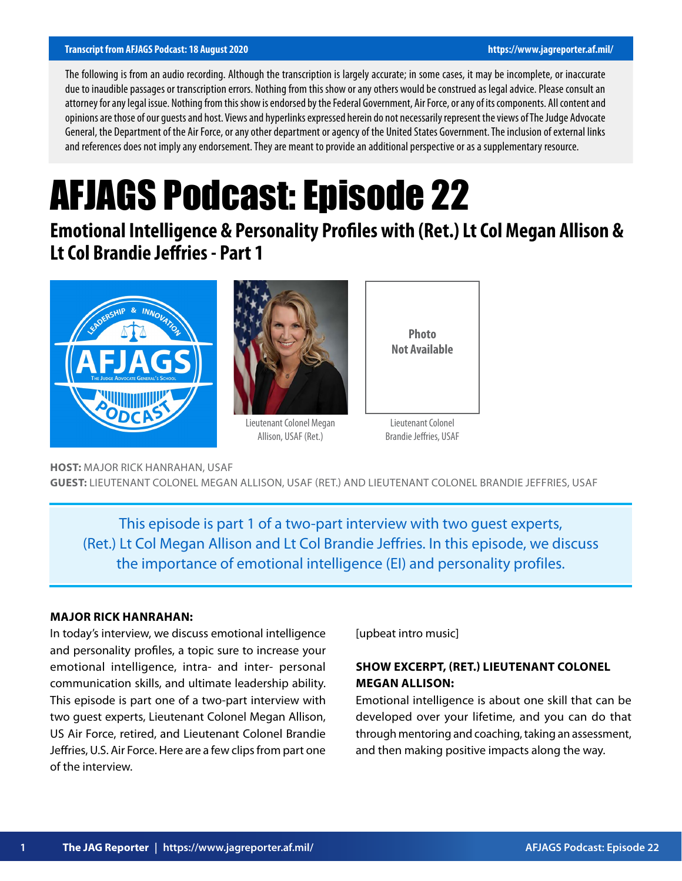#### **Transcript from AFJAGS Podcast: 18 August 2020 https://www.jagreporter.af.mil/**

The following is from an audio recording. Although the transcription is largely accurate; in some cases, it may be incomplete, or inaccurate due to inaudible passages or transcription errors. Nothing from this show or any others would be construed as legal advice. Please consult an attorney for any legal issue. Nothing from this show is endorsed by the Federal Government, Air Force, or any of its components. All content and opinions are those of our guests and host. Views and hyperlinks expressed herein do not necessarily represent the views of The Judge Advocate General, the Department of the Air Force, or any other department or agency of the United States Government. The inclusion of external links and references does not imply any endorsement. They are meant to provide an additional perspective or as a supplementary resource.

# AFJAGS Podcast: Episode 22

**Emotional Intelligence & Personality Profiles with (Ret.) Lt Col Megan Allison & Lt Col Brandie Jeffries - Part 1**





Lieutenant Colonel Megan Allison, USAF (Ret.)



Lieutenant Colonel Brandie Jeffries, USAF

**HOST:** MAJOR RICK HANRAHAN, USAF **GUEST:** LIEUTENANT COLONEL MEGAN ALLISON, USAF (RET.) AND LIEUTENANT COLONEL BRANDIE JEFFRIES, USAF

This episode is part 1 of a two-part interview with two guest experts, (Ret.) Lt Col Megan Allison and Lt Col Brandie Jeffries. In this episode, we discuss the importance of emotional intelligence (EI) and personality profiles.

#### **MAJOR RICK HANRAHAN:**

In today's interview, we discuss emotional intelligence and personality profiles, a topic sure to increase your emotional intelligence, intra- and inter- personal communication skills, and ultimate leadership ability. This episode is part one of a two-part interview with two guest experts, Lieutenant Colonel Megan Allison, US Air Force, retired, and Lieutenant Colonel Brandie Jeffries, U.S. Air Force. Here are a few clips from part one of the interview.

[upbeat intro music]

# **SHOW EXCERPT, (RET.) LIEUTENANT COLONEL MEGAN ALLISON:**

Emotional intelligence is about one skill that can be developed over your lifetime, and you can do that through mentoring and coaching, taking an assessment, and then making positive impacts along the way.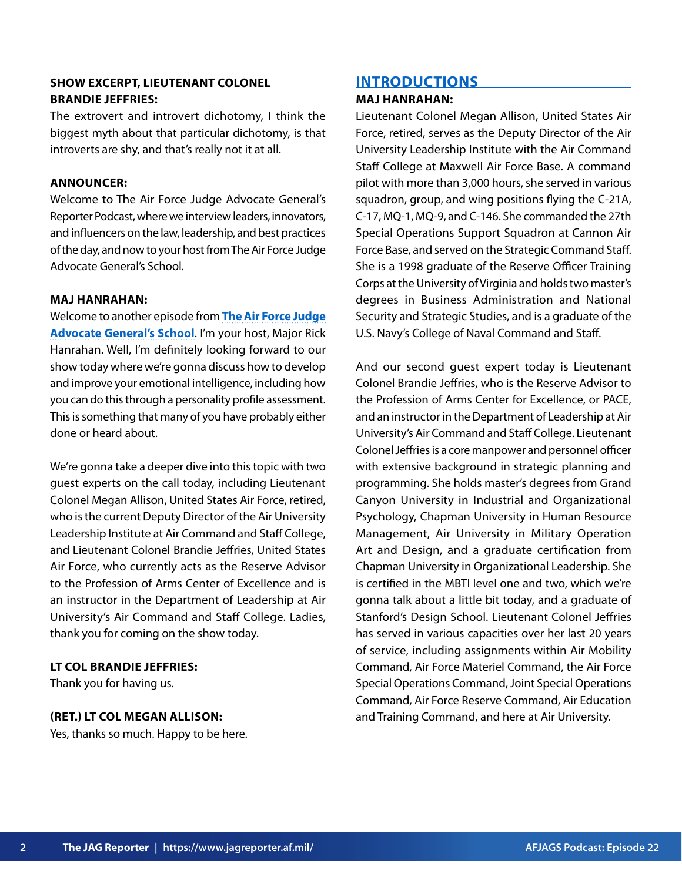## **SHOW EXCERPT, LIEUTENANT COLONEL BRANDIE JEFFRIES:**

The extrovert and introvert dichotomy, I think the biggest myth about that particular dichotomy, is that introverts are shy, and that's really not it at all.

## **ANNOUNCER:**

Welcome to The Air Force Judge Advocate General's Reporter Podcast, where we interview leaders, innovators, and influencers on the law, leadership, and best practices of the day, and now to your host from The Air Force Judge Advocate General's School.

## **MAJ HANRAHAN:**

Welcome to another episode from **[The Air Force Judge](https://www.afjag.af.mil/JAG-School/) [Advocate General's School](https://www.afjag.af.mil/JAG-School/)**. I'm your host, Major Rick Hanrahan. Well, I'm definitely looking forward to our show today where we're gonna discuss how to develop and improve your emotional intelligence, including how you can do this through a personality profile assessment. This is something that many of you have probably either done or heard about.

We're gonna take a deeper dive into this topic with two guest experts on the call today, including Lieutenant Colonel Megan Allison, United States Air Force, retired, who is the current Deputy Director of the Air University Leadership Institute at Air Command and Staff College, and Lieutenant Colonel Brandie Jeffries, United States Air Force, who currently acts as the Reserve Advisor to the Profession of Arms Center of Excellence and is an instructor in the Department of Leadership at Air University's Air Command and Staff College. Ladies, thank you for coming on the show today.

## **LT COL BRANDIE JEFFRIES:**

Thank you for having us.

## **(RET.) LT COL MEGAN ALLISON:**

Yes, thanks so much. Happy to be here.

# **INTRODUCTIONS**

## **MAJ HANRAHAN:**

Lieutenant Colonel Megan Allison, United States Air Force, retired, serves as the Deputy Director of the Air University Leadership Institute with the Air Command Staff College at Maxwell Air Force Base. A command pilot with more than 3,000 hours, she served in various squadron, group, and wing positions flying the C-21A, C-17, MQ-1, MQ-9, and C-146. She commanded the 27th Special Operations Support Squadron at Cannon Air Force Base, and served on the Strategic Command Staff. She is a 1998 graduate of the Reserve Officer Training Corps at the University of Virginia and holds two master's degrees in Business Administration and National Security and Strategic Studies, and is a graduate of the U.S. Navy's College of Naval Command and Staff.

And our second guest expert today is Lieutenant Colonel Brandie Jeffries, who is the Reserve Advisor to the Profession of Arms Center for Excellence, or PACE, and an instructor in the Department of Leadership at Air University's Air Command and Staff College. Lieutenant Colonel Jeffries is a core manpower and personnel officer with extensive background in strategic planning and programming. She holds master's degrees from Grand Canyon University in Industrial and Organizational Psychology, Chapman University in Human Resource Management, Air University in Military Operation Art and Design, and a graduate certification from Chapman University in Organizational Leadership. She is certified in the MBTI level one and two, which we're gonna talk about a little bit today, and a graduate of Stanford's Design School. Lieutenant Colonel Jeffries has served in various capacities over her last 20 years of service, including assignments within Air Mobility Command, Air Force Materiel Command, the Air Force Special Operations Command, Joint Special Operations Command, Air Force Reserve Command, Air Education and Training Command, and here at Air University.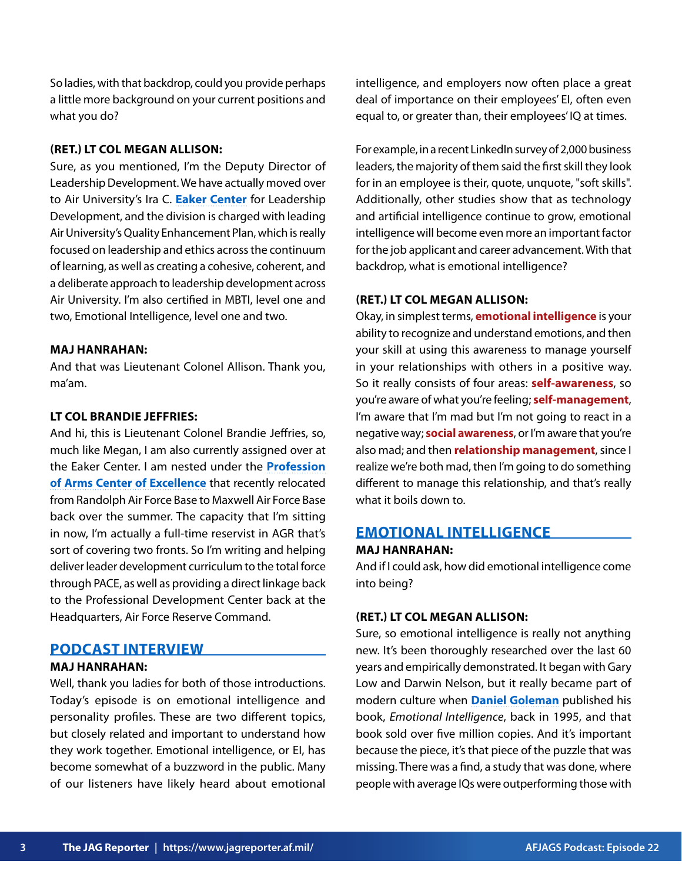So ladies, with that backdrop, could you provide perhaps a little more background on your current positions and what you do?

## **(RET.) LT COL MEGAN ALLISON:**

Sure, as you mentioned, I'm the Deputy Director of Leadership Development. We have actually moved over to Air University's Ira C. **[Eaker Center](https://www.airuniversity.af.edu/Eaker-Center/)** for Leadership Development, and the division is charged with leading Air University's Quality Enhancement Plan, which is really focused on leadership and ethics across the continuum of learning, as well as creating a cohesive, coherent, and a deliberate approach to leadership development across Air University. I'm also certified in MBTI, level one and two, Emotional Intelligence, level one and two.

#### **MAJ HANRAHAN:**

And that was Lieutenant Colonel Allison. Thank you, ma'am.

## **LT COL BRANDIE JEFFRIES:**

And hi, this is Lieutenant Colonel Brandie Jeffries, so, much like Megan, I am also currently assigned over at the Eaker Center. I am nested under the **[Profession](https://www.airman.af.mil/) [of Arms Center of Excellence](https://www.airman.af.mil/)** that recently relocated from Randolph Air Force Base to Maxwell Air Force Base back over the summer. The capacity that I'm sitting in now, I'm actually a full-time reservist in AGR that's sort of covering two fronts. So I'm writing and helping deliver leader development curriculum to the total force through PACE, as well as providing a direct linkage back to the Professional Development Center back at the Headquarters, Air Force Reserve Command.

# **PODCAST INTERVIEW**

## **MAJ HANRAHAN:**

Well, thank you ladies for both of those introductions. Today's episode is on emotional intelligence and personality profiles. These are two different topics, but closely related and important to understand how they work together. Emotional intelligence, or EI, has become somewhat of a buzzword in the public. Many of our listeners have likely heard about emotional

intelligence, and employers now often place a great deal of importance on their employees' EI, often even equal to, or greater than, their employees' IQ at times.

For example, in a recent LinkedIn survey of 2,000 business leaders, the majority of them said the first skill they look for in an employee is their, quote, unquote, "soft skills". Additionally, other studies show that as technology and artificial intelligence continue to grow, emotional intelligence will become even more an important factor for the job applicant and career advancement. With that backdrop, what is emotional intelligence?

## **(RET.) LT COL MEGAN ALLISON:**

Okay, in simplest terms, **emotional intelligence** is your ability to recognize and understand emotions, and then your skill at using this awareness to manage yourself in your relationships with others in a positive way. So it really consists of four areas: **self-awareness**, so you're aware of what you're feeling; **self-management**, I'm aware that I'm mad but I'm not going to react in a negative way; **social awareness**, or I'm aware that you're also mad; and then **relationship management**, since I realize we're both mad, then I'm going to do something different to manage this relationship, and that's really what it boils down to.

## **EMOTIONAL INTELLIGENCE**

#### **MAJ HANRAHAN:**

And if I could ask, how did emotional intelligence come into being?

## **(RET.) LT COL MEGAN ALLISON:**

Sure, so emotional intelligence is really not anything new. It's been thoroughly researched over the last 60 years and empirically demonstrated. It began with Gary Low and Darwin Nelson, but it really became part of modern culture when **[Daniel Goleman](https://www.danielgoleman.info/)** published his book, *Emotional Intelligence*, back in 1995, and that book sold over five million copies. And it's important because the piece, it's that piece of the puzzle that was missing. There was a find, a study that was done, where people with average IQs were outperforming those with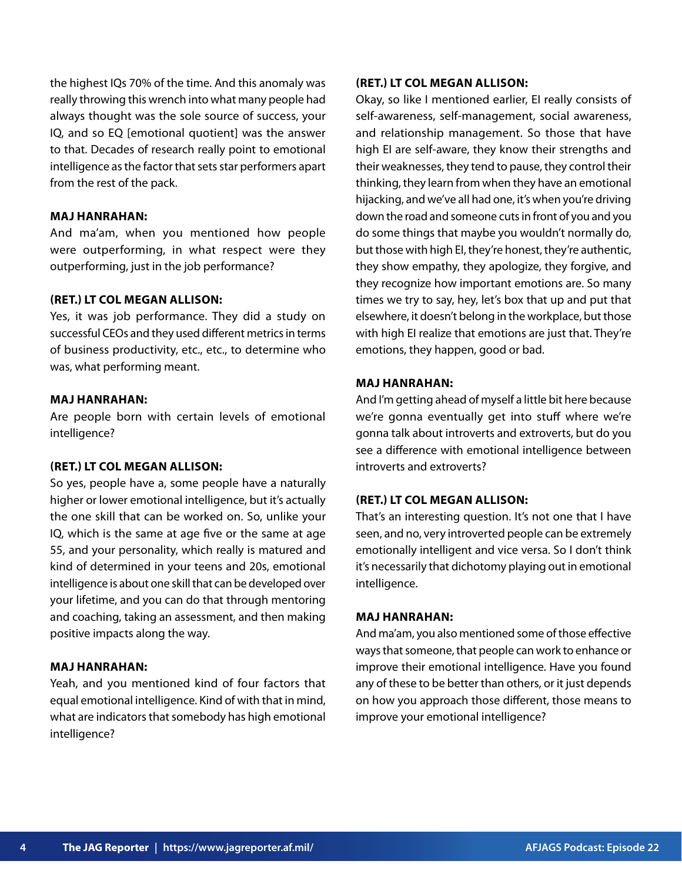the highest IQs 70% of the time. And this anomaly was really throwing this wrench into what many people had always thought was the sole source of success, your IQ, and so EQ [emotional quotient] was the answer to that. Decades of research really point to emotional intelligence as the factor that sets star performers apart from the rest of the pack.

## **MAJ HANRAHAN:**

And ma'am, when you mentioned how people were outperforming, in what respect were they outperforming, just in the job performance?

## **(RET.) LT COL MEGAN ALLISON:**

Yes, it was job performance. They did a study on successful CEOs and they used different metrics in terms of business productivity, etc., etc., to determine who was, what performing meant.

#### **MAJ HANRAHAN:**

Are people born with certain levels of emotional intelligence?

#### **(RET.) LT COL MEGAN ALLISON:**

So yes, people have a, some people have a naturally higher or lower emotional intelligence, but it's actually the one skill that can be worked on. So, unlike your IQ, which is the same at age five or the same at age 55, and your personality, which really is matured and kind of determined in your teens and 20s, emotional intelligence is about one skill that can be developed over your lifetime, and you can do that through mentoring and coaching, taking an assessment, and then making positive impacts along the way.

## **MAJ HANRAHAN:**

Yeah, and you mentioned kind of four factors that equal emotional intelligence. Kind of with that in mind, what are indicators that somebody has high emotional intelligence?

## **(RET.) LT COL MEGAN ALLISON:**

Okay, so like I mentioned earlier, EI really consists of self-awareness, self-management, social awareness, and relationship management. So those that have high EI are self-aware, they know their strengths and their weaknesses, they tend to pause, they control their thinking, they learn from when they have an emotional hijacking, and we've all had one, it's when you're driving down the road and someone cuts in front of you and you do some things that maybe you wouldn't normally do, but those with high EI, they're honest, they're authentic, they show empathy, they apologize, they forgive, and they recognize how important emotions are. So many times we try to say, hey, let's box that up and put that elsewhere, it doesn't belong in the workplace, but those with high EI realize that emotions are just that. They're emotions, they happen, good or bad.

## **MAJ HANRAHAN:**

And I'm getting ahead of myself a little bit here because we're gonna eventually get into stuff where we're gonna talk about introverts and extroverts, but do you see a difference with emotional intelligence between introverts and extroverts?

## **(RET.) LT COL MEGAN ALLISON:**

That's an interesting question. It's not one that I have seen, and no, very introverted people can be extremely emotionally intelligent and vice versa. So I don't think it's necessarily that dichotomy playing out in emotional intelligence.

#### **MAJ HANRAHAN:**

And ma'am, you also mentioned some of those effective ways that someone, that people can work to enhance or improve their emotional intelligence. Have you found any of these to be better than others, or it just depends on how you approach those different, those means to improve your emotional intelligence?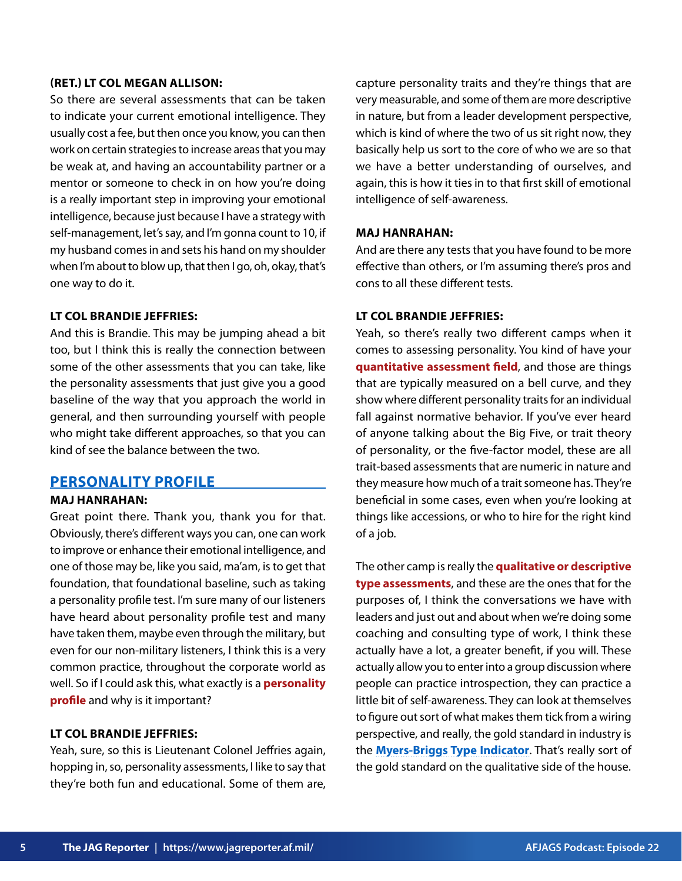## **(RET.) LT COL MEGAN ALLISON:**

So there are several assessments that can be taken to indicate your current emotional intelligence. They usually cost a fee, but then once you know, you can then work on certain strategies to increase areas that you may be weak at, and having an accountability partner or a mentor or someone to check in on how you're doing is a really important step in improving your emotional intelligence, because just because I have a strategy with self-management, let's say, and I'm gonna count to 10, if my husband comes in and sets his hand on my shoulder when I'm about to blow up, that then I go, oh, okay, that's one way to do it.

## **LT COL BRANDIE JEFFRIES:**

And this is Brandie. This may be jumping ahead a bit too, but I think this is really the connection between some of the other assessments that you can take, like the personality assessments that just give you a good baseline of the way that you approach the world in general, and then surrounding yourself with people who might take different approaches, so that you can kind of see the balance between the two.

# **PERSONALITY PROFILE**

## **MAJ HANRAHAN:**

Great point there. Thank you, thank you for that. Obviously, there's different ways you can, one can work to improve or enhance their emotional intelligence, and one of those may be, like you said, ma'am, is to get that foundation, that foundational baseline, such as taking a personality profile test. I'm sure many of our listeners have heard about personality profile test and many have taken them, maybe even through the military, but even for our non-military listeners, I think this is a very common practice, throughout the corporate world as well. So if I could ask this, what exactly is a **personality profile** and why is it important?

## **LT COL BRANDIE JEFFRIES:**

Yeah, sure, so this is Lieutenant Colonel Jeffries again, hopping in, so, personality assessments, I like to say that they're both fun and educational. Some of them are, capture personality traits and they're things that are very measurable, and some of them are more descriptive in nature, but from a leader development perspective, which is kind of where the two of us sit right now, they basically help us sort to the core of who we are so that we have a better understanding of ourselves, and again, this is how it ties in to that first skill of emotional intelligence of self-awareness.

## **MAJ HANRAHAN:**

And are there any tests that you have found to be more effective than others, or I'm assuming there's pros and cons to all these different tests.

## **LT COL BRANDIE JEFFRIES:**

Yeah, so there's really two different camps when it comes to assessing personality. You kind of have your **quantitative assessment field**, and those are things that are typically measured on a bell curve, and they show where different personality traits for an individual fall against normative behavior. If you've ever heard of anyone talking about the Big Five, or trait theory of personality, or the five-factor model, these are all trait-based assessments that are numeric in nature and they measure how much of a trait someone has. They're beneficial in some cases, even when you're looking at things like accessions, or who to hire for the right kind of a job.

The other camp is really the **qualitative or descriptive type assessments**, and these are the ones that for the purposes of, I think the conversations we have with leaders and just out and about when we're doing some coaching and consulting type of work, I think these actually have a lot, a greater benefit, if you will. These actually allow you to enter into a group discussion where people can practice introspection, they can practice a little bit of self-awareness. They can look at themselves to figure out sort of what makes them tick from a wiring perspective, and really, the gold standard in industry is the **[Myers-Briggs Type Indicator](https://www.myersbriggs.org/my-mbti-personality-type/mbti-basics/)**. That's really sort of the gold standard on the qualitative side of the house.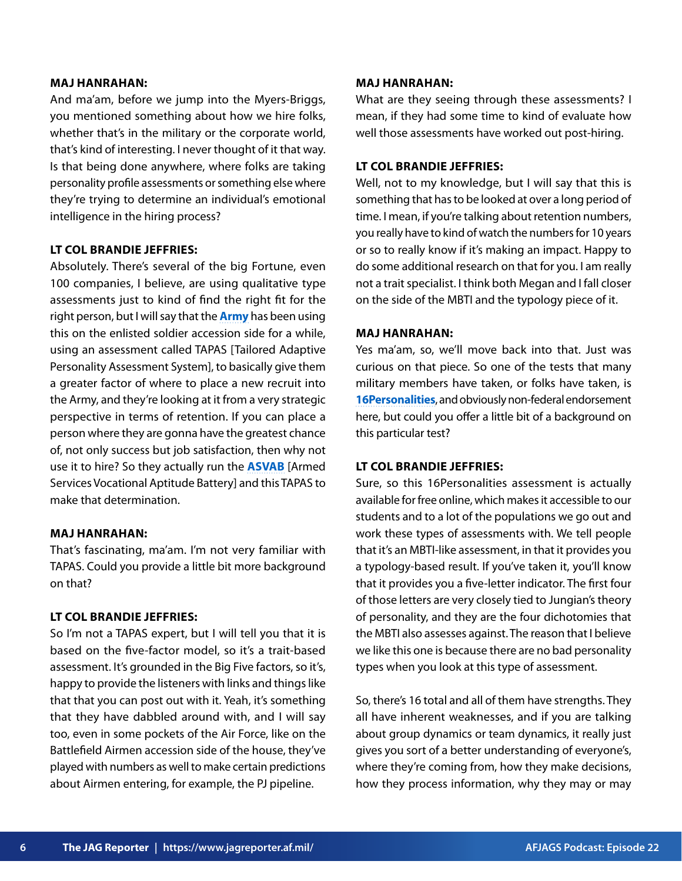## **MAJ HANRAHAN:**

And ma'am, before we jump into the Myers-Briggs, you mentioned something about how we hire folks, whether that's in the military or the corporate world, that's kind of interesting. I never thought of it that way. Is that being done anywhere, where folks are taking personality profile assessments or something else where they're trying to determine an individual's emotional intelligence in the hiring process?

## **LT COL BRANDIE JEFFRIES:**

Absolutely. There's several of the big Fortune, even 100 companies, I believe, are using qualitative type assessments just to kind of find the right fit for the right person, but I will say that the **[Army](https://www.military.com/daily-news/2020/01/03/army-launches-pilot-study-personality-assessment-entrance-tests-recruits.html)** has been using this on the enlisted soldier accession side for a while, using an assessment called TAPAS [Tailored Adaptive Personality Assessment System], to basically give them a greater factor of where to place a new recruit into the Army, and they're looking at it from a very strategic perspective in terms of retention. If you can place a person where they are gonna have the greatest chance of, not only success but job satisfaction, then why not use it to hire? So they actually run the **[ASVAB](https://www.officialasvab.com/)** [Armed Services Vocational Aptitude Battery] and this TAPAS to make that determination.

## **MAJ HANRAHAN:**

That's fascinating, ma'am. I'm not very familiar with TAPAS. Could you provide a little bit more background on that?

#### **LT COL BRANDIE JEFFRIES:**

So I'm not a TAPAS expert, but I will tell you that it is based on the five-factor model, so it's a trait-based assessment. It's grounded in the Big Five factors, so it's, happy to provide the listeners with links and things like that that you can post out with it. Yeah, it's something that they have dabbled around with, and I will say too, even in some pockets of the Air Force, like on the Battlefield Airmen accession side of the house, they've played with numbers as well to make certain predictions about Airmen entering, for example, the PJ pipeline.

## **MAJ HANRAHAN:**

What are they seeing through these assessments? I mean, if they had some time to kind of evaluate how well those assessments have worked out post-hiring.

## **LT COL BRANDIE JEFFRIES:**

Well, not to my knowledge, but I will say that this is something that has to be looked at over a long period of time. I mean, if you're talking about retention numbers, you really have to kind of watch the numbers for 10 years or so to really know if it's making an impact. Happy to do some additional research on that for you. I am really not a trait specialist. I think both Megan and I fall closer on the side of the MBTI and the typology piece of it.

## **MAJ HANRAHAN:**

Yes ma'am, so, we'll move back into that. Just was curious on that piece. So one of the tests that many military members have taken, or folks have taken, is **[16Personalities](https://www.16personalities.com/)**, and obviously non-federal endorsement here, but could you offer a little bit of a background on this particular test?

## **LT COL BRANDIE JEFFRIES:**

Sure, so this 16Personalities assessment is actually available for free online, which makes it accessible to our students and to a lot of the populations we go out and work these types of assessments with. We tell people that it's an MBTI-like assessment, in that it provides you a typology-based result. If you've taken it, you'll know that it provides you a five-letter indicator. The first four of those letters are very closely tied to Jungian's theory of personality, and they are the four dichotomies that the MBTI also assesses against. The reason that I believe we like this one is because there are no bad personality types when you look at this type of assessment.

So, there's 16 total and all of them have strengths. They all have inherent weaknesses, and if you are talking about group dynamics or team dynamics, it really just gives you sort of a better understanding of everyone's, where they're coming from, how they make decisions, how they process information, why they may or may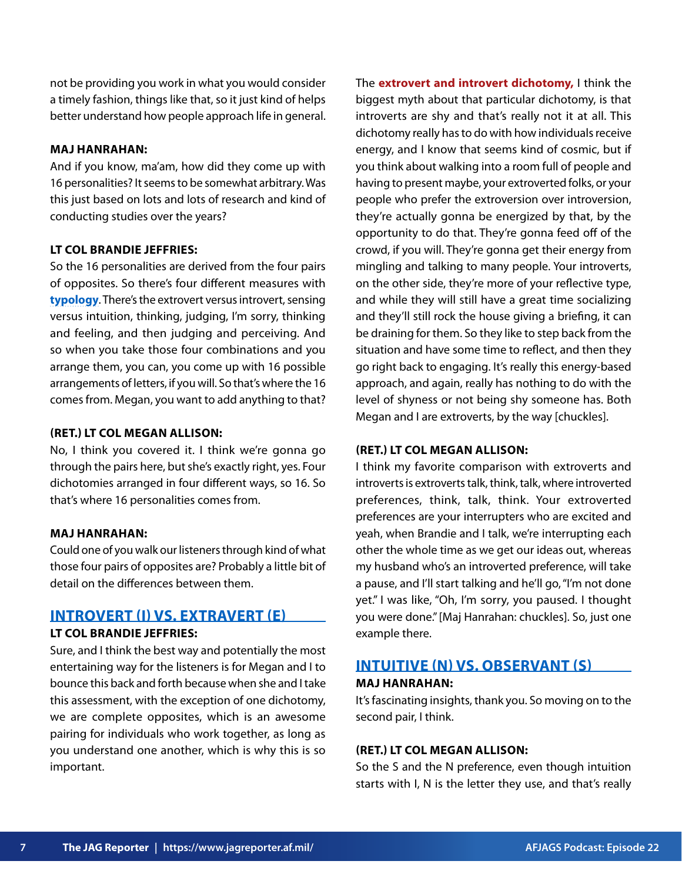not be providing you work in what you would consider a timely fashion, things like that, so it just kind of helps better understand how people approach life in general.

## **MAJ HANRAHAN:**

And if you know, ma'am, how did they come up with 16 personalities? It seems to be somewhat arbitrary. Was this just based on lots and lots of research and kind of conducting studies over the years?

## **LT COL BRANDIE JEFFRIES:**

So the 16 personalities are derived from the four pairs of opposites. So there's four different measures with **[typology](https://www.16personalities.com/articles/what-is-personality-typology-and-why-does-it-matter#:~:text=Personality%20typology%20is%20the%20concept,for%20example%2C%20Introversion%20and%20Extraversion.)**. There's the extrovert versus introvert, sensing versus intuition, thinking, judging, I'm sorry, thinking and feeling, and then judging and perceiving. And so when you take those four combinations and you arrange them, you can, you come up with 16 possible arrangements of letters, if you will. So that's where the 16 comes from. Megan, you want to add anything to that?

#### **(RET.) LT COL MEGAN ALLISON:**

No, I think you covered it. I think we're gonna go through the pairs here, but she's exactly right, yes. Four dichotomies arranged in four different ways, so 16. So that's where 16 personalities comes from.

## **MAJ HANRAHAN:**

Could one of you walk our listeners through kind of what those four pairs of opposites are? Probably a little bit of detail on the differences between them.

## **INTROVERT (I) VS. EXTRAVERT (E) LT COL BRANDIE JEFFRIES:**

Sure, and I think the best way and potentially the most entertaining way for the listeners is for Megan and I to bounce this back and forth because when she and I take this assessment, with the exception of one dichotomy, we are complete opposites, which is an awesome pairing for individuals who work together, as long as you understand one another, which is why this is so important.

The **extrovert and introvert dichotomy,** I think the biggest myth about that particular dichotomy, is that introverts are shy and that's really not it at all. This dichotomy really has to do with how individuals receive energy, and I know that seems kind of cosmic, but if you think about walking into a room full of people and having to present maybe, your extroverted folks, or your people who prefer the extroversion over introversion, they're actually gonna be energized by that, by the opportunity to do that. They're gonna feed off of the crowd, if you will. They're gonna get their energy from mingling and talking to many people. Your introverts, on the other side, they're more of your reflective type, and while they will still have a great time socializing and they'll still rock the house giving a briefing, it can be draining for them. So they like to step back from the situation and have some time to reflect, and then they go right back to engaging. It's really this energy-based approach, and again, really has nothing to do with the level of shyness or not being shy someone has. Both Megan and I are extroverts, by the way [chuckles].

## **(RET.) LT COL MEGAN ALLISON:**

I think my favorite comparison with extroverts and introverts is extroverts talk, think, talk, where introverted preferences, think, talk, think. Your extroverted preferences are your interrupters who are excited and yeah, when Brandie and I talk, we're interrupting each other the whole time as we get our ideas out, whereas my husband who's an introverted preference, will take a pause, and I'll start talking and he'll go, "I'm not done yet." I was like, "Oh, I'm sorry, you paused. I thought you were done." [Maj Hanrahan: chuckles]. So, just one example there.

# **INTUITIVE (N) VS. OBSERVANT (S) MAJ HANRAHAN:**

It's fascinating insights, thank you. So moving on to the second pair, I think.

## **(RET.) LT COL MEGAN ALLISON:**

So the S and the N preference, even though intuition starts with I, N is the letter they use, and that's really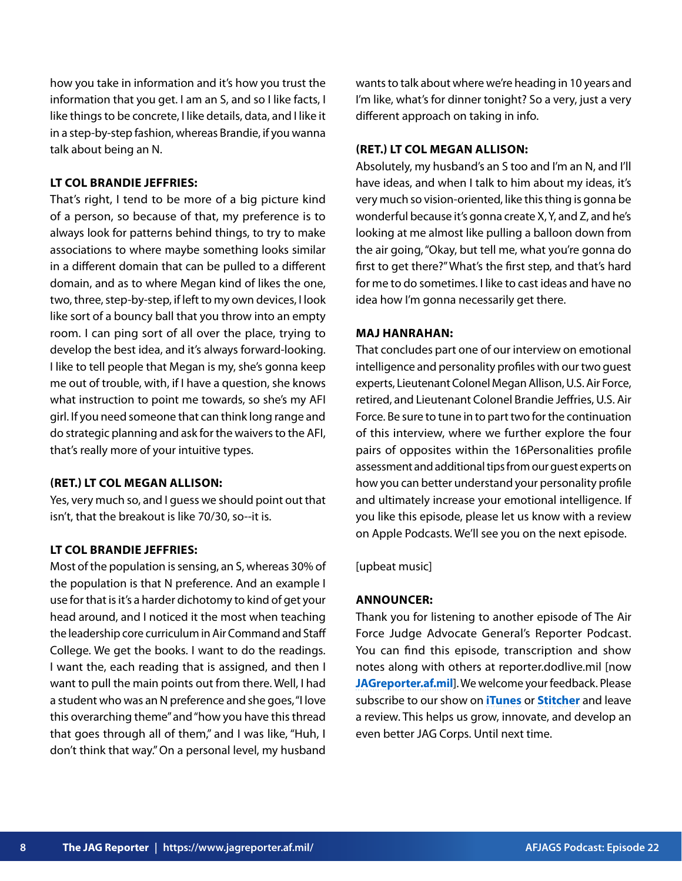how you take in information and it's how you trust the information that you get. I am an S, and so I like facts, I like things to be concrete, I like details, data, and I like it in a step-by-step fashion, whereas Brandie, if you wanna talk about being an N.

## **LT COL BRANDIE JEFFRIES:**

That's right, I tend to be more of a big picture kind of a person, so because of that, my preference is to always look for patterns behind things, to try to make associations to where maybe something looks similar in a different domain that can be pulled to a different domain, and as to where Megan kind of likes the one, two, three, step-by-step, if left to my own devices, I look like sort of a bouncy ball that you throw into an empty room. I can ping sort of all over the place, trying to develop the best idea, and it's always forward-looking. I like to tell people that Megan is my, she's gonna keep me out of trouble, with, if I have a question, she knows what instruction to point me towards, so she's my AFI girl. If you need someone that can think long range and do strategic planning and ask for the waivers to the AFI, that's really more of your intuitive types.

## **(RET.) LT COL MEGAN ALLISON:**

Yes, very much so, and I guess we should point out that isn't, that the breakout is like 70/30, so--it is.

## **LT COL BRANDIE JEFFRIES:**

Most of the population is sensing, an S, whereas 30% of the population is that N preference. And an example I use for that is it's a harder dichotomy to kind of get your head around, and I noticed it the most when teaching the leadership core curriculum in Air Command and Staff College. We get the books. I want to do the readings. I want the, each reading that is assigned, and then I want to pull the main points out from there. Well, I had a student who was an N preference and she goes, "I love this overarching theme" and "how you have this thread that goes through all of them," and I was like, "Huh, I don't think that way." On a personal level, my husband

wants to talk about where we're heading in 10 years and I'm like, what's for dinner tonight? So a very, just a very different approach on taking in info.

## **(RET.) LT COL MEGAN ALLISON:**

Absolutely, my husband's an S too and I'm an N, and I'll have ideas, and when I talk to him about my ideas, it's very much so vision-oriented, like this thing is gonna be wonderful because it's gonna create X, Y, and Z, and he's looking at me almost like pulling a balloon down from the air going, "Okay, but tell me, what you're gonna do first to get there?" What's the first step, and that's hard for me to do sometimes. I like to cast ideas and have no idea how I'm gonna necessarily get there.

#### **MAJ HANRAHAN:**

That concludes part one of our interview on emotional intelligence and personality profiles with our two guest experts, Lieutenant Colonel Megan Allison, U.S. Air Force, retired, and Lieutenant Colonel Brandie Jeffries, U.S. Air Force. Be sure to tune in to part two for the continuation of this interview, where we further explore the four pairs of opposites within the 16Personalities profile assessment and additional tips from our guest experts on how you can better understand your personality profile and ultimately increase your emotional intelligence. If you like this episode, please let us know with a review on Apple Podcasts. We'll see you on the next episode.

#### [upbeat music]

#### **ANNOUNCER:**

Thank you for listening to another episode of The Air Force Judge Advocate General's Reporter Podcast. You can find this episode, transcription and show notes along with others at reporter.dodlive.mil [now **[JAGreporter.af.mil](https://www.jagreporter.af.mil/Podcasts)**]. We welcome your feedback. Please subscribe to our show on **[iTunes](https://podcasts.apple.com/us/podcast/air-force-judge-advocate-generals-school-podcast/id1488359609)** or **[Stitcher](https://www.stitcher.com/show/air-force-judge-advocate-generals-school-podcast)** and leave a review. This helps us grow, innovate, and develop an even better JAG Corps. Until next time.